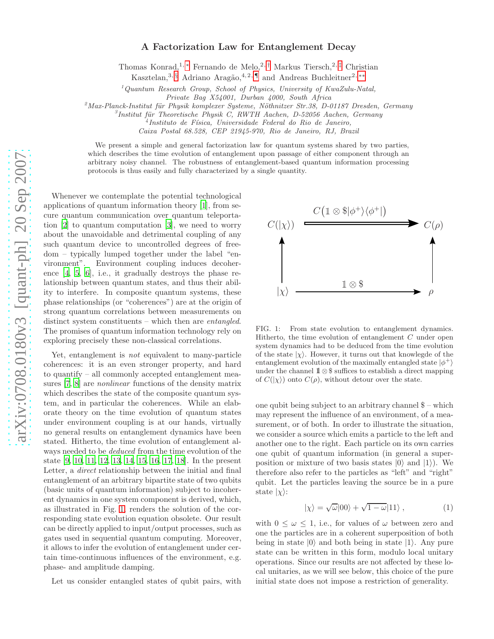## A Factorization Law for Entanglement Decay

Thomas Konrad,<sup>1, [∗](#page-3-0)</sup> Fernando de Melo,<sup>2,[†](#page-3-1)</sup> Markus Tiersch,<sup>2,[‡](#page-3-2)</sup> Christian

Kasztelan,<sup>3, [§](#page-3-3)</sup> Adriano Aragão,<sup>4,2,[¶](#page-3-4)</sup> and Andreas Buchleitner<sup>2,\*\*</sup>

 $1$ Quantum Research Group, School of Physics, University of KwaZulu-Natal,

Private Bag X54001, Durban 4000, South Africa

 $^{2}$ Max-Planck-Institut für Physik komplexer Systeme, Nöthnitzer Str.38, D-01187 Dresden, Germany

 ${}^{3}$ Institut für Theoretische Physik C, RWTH Aachen, D-52056 Aachen, Germany

<sup>4</sup>Instituto de Física, Universidade Federal do Rio de Janeiro,

Caixa Postal 68.528, CEP 21945-970, Rio de Janeiro, RJ, Brazil

We present a simple and general factorization law for quantum systems shared by two parties, which describes the time evolution of entanglement upon passage of either component through an arbitrary noisy channel. The robustness of entanglement-based quantum information processing protocols is thus easily and fully characterized by a single quantity.

Whenever we contemplate the potential technological applications of quantum information theory [\[1](#page-3-6)], from secure quantum communication over quantum teleporta-tion [\[2\]](#page-3-7) to quantum computation [\[3](#page-3-8)],  $\mathbb{E}$  and to worry tion [2] to quantum computation [3], **we** need to worry  $C(|\chi\rangle)$   $\longrightarrow$   $C(\rho)$  about the unavoidable and detrimental coupling of any such quantum device to uncontrolled degrees of freedom – typically lumped together under the label "environment". Environment coupling induces decoherence [\[4](#page-3-9), [5](#page-3-10), [6](#page-3-11)], i.e., it gradually destroys the phase relationship between quantum states, and thus their ability to interfere. In composite quantum systems, these phase relationships (or "coherences") are at the origin of strong quantum correlations between measurements on distinct system constituents – which then are *entangled*. The promises of quantum information technology rely on exploring precisely these non-classical correlations.

Yet, entanglement is not equivalent to many-particle coherences: it is an even stronger property, and hard to quantify – all commonly accepted entanglement measures [\[7,](#page-3-12) [8\]](#page-3-13) are nonlinear functions of the density matrix which describes the state of the composite quantum system, and in particular the coherences. While an elaborate theory on the time evolution of quantum states under environment coupling is at our hands, virtually no general results on entanglement dynamics have been stated. Hitherto, the time evolution of entanglement always needed to be deduced from the time evolution of the state [\[9,](#page-3-14) [10,](#page-3-15) [11,](#page-3-16) [12,](#page-3-17) [13,](#page-3-18) [14](#page-3-19), [15](#page-3-20), [16,](#page-3-21) [17,](#page-3-22) [18\]](#page-3-23). In the present Letter, a direct relationship between the initial and final entanglement of an arbitrary bipartite state of two qubits (basic units of quantum information) subject to incoherent dynamics in one system component is derived, which, as illustrated in Fig. [1,](#page-0-0) renders the solution of the corresponding state evolution equation obsolete. Our result can be directly applied to input/output processes, such as gates used in sequential quantum computing. Moreover, it allows to infer the evolution of entanglement under certain time-continuous influences of the environment, e.g. phase- and amplitude damping.

Let us consider entangled states of qubit pairs, with



<span id="page-0-0"></span>FIG. 1: From state evolution to entanglement dynamics. Hitherto, the time evolution of entanglement  $C$  under open system dynamics had to be deduced from the time evolution of the state  $|\chi\rangle$ . However, it turns out that knowlegde of the entanglement evolution of the maximally entangled state  $|\phi^+\rangle$ under the channel  $1\text{ }1\otimes$  \$ suffices to establish a direct mapping of  $C(|\chi\rangle)$  onto  $C(\rho)$ , without detour over the state.

one qubit being subject to an arbitrary channel  $\hat{\mathcal{S}}$  – which may represent the influence of an environment, of a measurement, or of both. In order to illustrate the situation, we consider a source which emits a particle to the left and another one to the right. Each particle on its own carries one qubit of quantum information (in general a superposition or mixture of two basis states  $|0\rangle$  and  $|1\rangle$ ). We therefore also refer to the particles as "left" and "right" qubit. Let the particles leaving the source be in a pure state  $|\chi\rangle$ :

<span id="page-0-1"></span>
$$
|\chi\rangle = \sqrt{\omega} |00\rangle + \sqrt{1 - \omega} |11\rangle , \qquad (1)
$$

with  $0 \leq \omega \leq 1$ , i.e., for values of  $\omega$  between zero and one the particles are in a coherent superposition of both being in state  $|0\rangle$  and both being in state  $|1\rangle$ . Any pure state can be written in this form, modulo local unitary operations. Since our results are not affected by these local unitaries, as we will see below, this choice of the pure initial state does not impose a restriction of generality.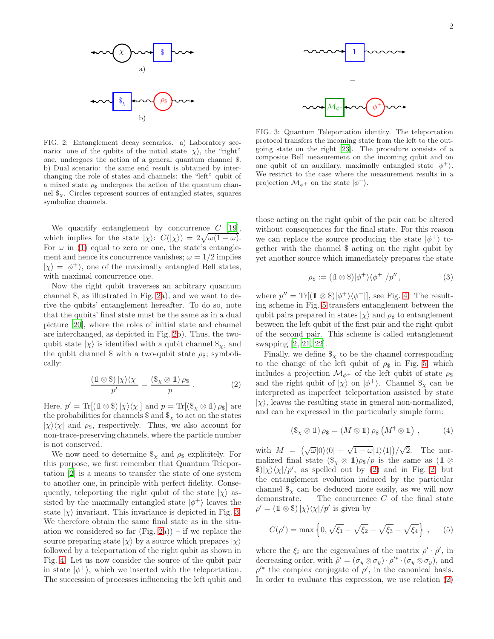

<span id="page-1-0"></span>FIG. 2: Entanglement decay scenarios. a) Laboratory scenario: one of the qubits of the initial state  $|\chi\rangle$ , the "right" one, undergoes the action of a general quantum channel \$. b) Dual scenario: the same end result is obtained by interchanging the role of states and channels: the "left" qubit of a mixed state  $\rho_s$  undergoes the action of the quantum channel  $\mathcal{F}_x$ . Circles represent sources of entangled states, squares symbolize channels.

We quantify entanglement by concurrence  $C$  [\[19\]](#page-3-24). which implies for the state  $|\chi\rangle$ :  $C(|\chi\rangle) = 2\sqrt{\omega(1-\omega)}$ . For  $\omega$  in [\(1\)](#page-0-1) equal to zero or one, the state's entanglement and hence its concurrence vanishes;  $\omega = 1/2$  implies  $|\chi\rangle = |\phi^+\rangle$ , one of the maximally entangled Bell states, with maximal concurrence one.

Now the right qubit traverses an arbitrary quantum channel \$, as illustrated in Fig. [2a](#page-1-0)), and we want to derive the qubits' entanglement hereafter. To do so, note that the qubits' final state must be the same as in a dual picture [\[20\]](#page-3-25), where the roles of initial state and channel are interchanged, as depicted in Fig. [2b](#page-1-0)). Thus, the twoqubit state  $|\chi\rangle$  is identified with a qubit channel  $\mathcal{F}_{\chi}$ , and the qubit channel \$ with a two-qubit state  $\rho_{\$}$ ; symbolically:

<span id="page-1-2"></span>
$$
\frac{(\mathbb{1} \otimes \$) \, |\chi\rangle\langle\chi|}{p'} = \frac{(\$_{\chi} \otimes \mathbb{1}) \, \rho_{\$}}{p} \,. \tag{2}
$$

Here,  $p' = \text{Tr}[(\mathbb{1} \otimes \mathbb{S}) | \chi \rangle \langle \chi |]$  and  $p = \text{Tr}[(\mathbb{S}_\chi \otimes \mathbb{1}) \rho_{\mathbb{S}}]$  are the probabilities for channels  $\frac{1}{x}$  and  $\frac{1}{x}$  to act on the states  $|\chi\rangle\langle\chi|$  and  $\rho_{\rm s}$ , respectively. Thus, we also account for non-trace-preserving channels, where the particle number is not conserved.

We now need to determine  $\mathcal{S}_{\chi}$  and  $\rho_{\mathcal{S}}$  explicitely. For this purpose, we first remember that Quantum Teleportation [\[2](#page-3-7)] is a means to transfer the state of one system to another one, in principle with perfect fidelity. Consequently, teleporting the right qubit of the state  $|\chi\rangle$  assisted by the maximally entangled state  $|\phi^+\rangle$  leaves the state  $|\chi\rangle$  invariant. This invariance is depicted in Fig. [3.](#page-1-1) We therefore obtain the same final state as in the situation we considered so far  $(Fig. 2a)$  $(Fig. 2a)$  $(Fig. 2a)$  – if we replace the source preparing state  $|\chi\rangle$  by a source which prepares  $|\chi\rangle$ followed by a teleportation of the right qubit as shown in Fig. [4.](#page-2-0) Let us now consider the source of the qubit pair in state  $|\phi^+\rangle$ , which we inserted with the teleportation. The succession of processes influencing the left qubit and



<span id="page-1-1"></span>FIG. 3: Quantum Teleportation identity. The teleportation protocol transfers the incoming state from the left to the outgoing state on the right [\[23](#page-3-26)]. The procedure consists of a composite Bell measurement on the incoming qubit and on one qubit of an auxiliary, maximally entangled state  $|\phi^+\rangle$ . We restrict to the case where the measurement results in a projection  $\mathcal{M}_{\phi^+}$  on the state  $|\phi^+\rangle$ .

those acting on the right qubit of the pair can be altered without consequences for the final state. For this reason we can replace the source producing the state  $|\phi^+\rangle$  together with the channel \$ acting on the right qubit by yet another source which immediately prepares the state

$$
\rho_{\$} := (1 \otimes \$)|\phi^{+}\rangle\langle\phi^{+}|/p'', \qquad (3)
$$

where  $p'' = \text{Tr}[(\mathbb{1} \otimes \mathbb{S})|\phi^+\rangle\langle\phi^+|]$ , see Fig. [4.](#page-2-0) The resulting scheme in Fig. [5](#page-2-1) transfers entanglement between the qubit pairs prepared in states  $|\chi\rangle$  and  $\rho_{\rm s}$  to entanglement between the left qubit of the first pair and the right qubit of the second pair. This scheme is called entanglement swapping [\[2](#page-3-7), [21](#page-3-27), [22](#page-3-28)].

Finally, we define  $\$_x$  to be the channel corresponding to the change of the left qubit of  $\rho_{\$}$  in Fig. [5,](#page-2-1) which includes a projection  $\mathcal{M}_{\phi^+}$  of the left qubit of state  $\rho_{\$}$ and the right qubit of  $|\chi\rangle$  on  $|\phi^+\rangle$ . Channel  $\$_{\chi}$  can be interpreted as imperfect teleportation assisted by state  $|\chi\rangle$ , leaves the resulting state in general non-normalized, and can be expressed in the particularly simple form:

<span id="page-1-3"></span>
$$
(\$_{\chi} \otimes 1) \rho_{\$} = (M \otimes 1) \rho_{\$} (M^{\dagger} \otimes 1) , \qquad (4)
$$

with  $M = (\sqrt{\omega}|0\rangle\langle 0| + \sqrt{1-\omega}|1\rangle\langle 1|)/\sqrt{2}$ . The normalized final state  $(\$_{\chi} \otimes \mathbb{1})\rho_{\$}/p$  is the same as (1\mos  $\otimes$ )  $\frac{\S}{\chi}\frac{\chi}{\chi}/p'$ , as spelled out by [\(2\)](#page-1-2) and in Fig. [2,](#page-1-0) but the entanglement evolution induced by the particular channel  $\$_\chi$  can be deduced more easily, as we will now demonstrate. The concurrence C of the final state  $\rho' = (\mathbb{1} \otimes \mathbb{S}) |\chi\rangle\langle\chi|/p'$  is given by

<span id="page-1-4"></span>
$$
C(\rho') = \max\left\{0, \sqrt{\xi_1} - \sqrt{\xi_2} - \sqrt{\xi_3} - \sqrt{\xi_4}\right\},\qquad(5)
$$

where the  $\xi_i$  are the eigenvalues of the matrix  $\rho' \cdot \tilde{\rho}'$ , in decreasing order, with  $\tilde{\rho}' = (\sigma_y \otimes \sigma_y) \cdot \rho'^* \cdot (\sigma_y \otimes \sigma_y)$ , and  $\rho'^*$  the complex conjugate of  $\rho'$ , in the canonical basis. In order to evaluate this expression, we use relation [\(2\)](#page-1-2)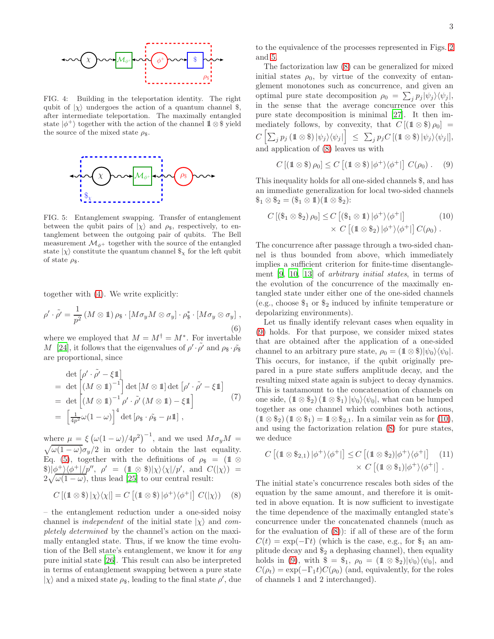

<span id="page-2-0"></span>FIG. 4: Building in the teleportation identity. The right qubit of  $|\chi\rangle$  undergoes the action of a quantum channel \$, after intermediate teleportation. The maximally entangled state  $|\phi^+\rangle$  together with the action of the channel  $1\otimes$  \$ yield the source of the mixed state  $\rho_{\$}$ .



<span id="page-2-1"></span>FIG. 5: Entanglement swapping. Transfer of entanglement between the qubit pairs of  $|\chi\rangle$  and  $\rho_{\$}$ , respectively, to entanglement between the outgoing pair of qubits. The Bell measurement  $\mathcal{M}_{\phi^+}$  together with the source of the entangled state  $|\chi\rangle$  constitute the quantum channel  $\$_\chi$  for the left qubit of state  $\rho$ <sub>s</sub>.

together with [\(4\)](#page-1-3). We write explicitly:

$$
\rho' \cdot \tilde{\rho'} = \frac{1}{p^2} \left( M \otimes \mathbb{1} \right) \rho_{\$} \cdot \left[ M \sigma_y M \otimes \sigma_y \right] \cdot \rho_{\$}^* \cdot \left[ M \sigma_y \otimes \sigma_y \right],
$$
\n(6)

where we employed that  $M = M^{\dagger} = M^*$ . For invertable M [\[24](#page-3-29)], it follows that the eigenvalues of  $\rho' \cdot \tilde{\rho}'$  and  $\rho_{\$} \cdot \tilde{\rho_{\$}}$ are proportional, since

$$
\det \left[ \rho' \cdot \tilde{\rho}' - \xi \mathbb{1} \right]
$$
\n
$$
= \det \left[ (M \otimes \mathbb{1})^{-1} \right] \det \left[ M \otimes \mathbb{1} \right] \det \left[ \rho' \cdot \tilde{\rho}' - \xi \mathbb{1} \right]
$$
\n
$$
= \det \left[ (M \otimes \mathbb{1})^{-1} \rho' \cdot \tilde{\rho}' \left( M \otimes \mathbb{1} \right) - \xi \mathbb{1} \right]
$$
\n
$$
= \left[ \frac{1}{4p^2} \omega (1 - \omega) \right]^4 \det \left[ \rho_{\$} \cdot \tilde{\rho}_{\$} - \mu \mathbb{1} \right],
$$
\n(7)

where  $\mu = \xi \left( \omega (1 - \omega) / 4p^2 \right)^{-1}$ , and we used  $M \sigma_y M =$  $\sqrt{\omega(1-\omega)}\sigma_y/2$  in order to obtain the last equality. Eq. [\(5\)](#page-1-4), together with the definitions of  $\rho_{\$} = (1 \otimes$  $\frac{\pi}{2}$  $\frac{\phi^+}{\phi^+}\frac{\sqrt{\phi^+}}{\rho'}$ ,  $\rho' = (1 \otimes \frac{\pi}{\chi})\frac{\sqrt{\chi}}{\chi}\frac{\sqrt{\chi}}{\rho'}$ , and  $C(\frac{\chi}{\chi}) =$  $2\sqrt{\omega(1-\omega)}$ , thus lead [\[25\]](#page-3-30) to our central result:

<span id="page-2-2"></span>
$$
C\left[\left(\mathbb{1}\otimes\mathbb{S}\right)|\chi\rangle\langle\chi\right]=C\left[\left(\mathbb{1}\otimes\mathbb{S}\right)|\phi^{+}\rangle\langle\phi^{+}|\right]C(|\chi\rangle)\quad(8)
$$

– the entanglement reduction under a one-sided noisy channel is *independent* of the initial state  $|\chi\rangle$  and *com*pletely determined by the channel's action on the maximally entangled state. Thus, if we know the time evolution of the Bell state's entanglement, we know it for any pure initial state [\[26](#page-3-31)]. This result can also be interpreted in terms of entanglement swapping between a pure state  $|\chi\rangle$  and a mixed state  $\rho_\$,$  leading to the final state  $\rho',$  due

to the equivalence of the processes represented in Figs. [2](#page-1-0) and [5.](#page-2-1)

The factorization law [\(8\)](#page-2-2) can be generalized for mixed initial states  $\rho_0$ , by virtue of the convexity of entanglement monotones such as concurrence, and given an optimal pure state decomposition  $\rho_0 = \sum_j p_j |\psi_j\rangle \langle \psi_j|$ , in the sense that the average concurrence over this pure state decomposition is minimal [\[27\]](#page-3-32). It then immediately follows, by convexity, that C [(11 ⊗ \$) ρ0] =  $C\left[\sum_j p_j\left(\mathbb{1}\otimes\mathbb{S}\right)|\psi_j\rangle\langle\psi_j|\right] \leq \sum_j p_jC\left[\left(\mathbb{1}\otimes\mathbb{S}\right)|\psi_j\rangle\langle\psi_j|\right],$ and application of [\(8\)](#page-2-2) leaves us with

<span id="page-2-4"></span><span id="page-2-3"></span>
$$
C [(1 \otimes \$) \rho_0] \leq C [(1 \otimes \$) |\phi^+\rangle\langle\phi^+|] C(\rho_0).
$$
 (9)

This inequality holds for all one-sided channels \$, and has an immediate generalization for local two-sided channels  $\$_1 \otimes \$_2 = (\$_1 \otimes 1)(1 \otimes \$_2).$ 

$$
C\left[\left(\$_1 \otimes \$_2\right)\rho_0\right] \le C\left[\left(\$_1 \otimes 1\right)|\phi^+\rangle\langle\phi^+|\right] \tag{10}
$$

$$
\times C\left[\left(\mathbb{1} \otimes \$_2\right)|\phi^+\rangle\langle\phi^+|\right]C(\rho_0).
$$

The concurrence after passage through a two-sided channel is thus bounded from above, which immediately implies a sufficient criterion for finite-time disentanglement [\[9](#page-3-14), [10,](#page-3-15) [13\]](#page-3-18) of arbitrary initial states, in terms of the evolution of the concurrence of the maximally entangled state under either one of the one-sided channels (e.g., choose  $\$_1$  or  $\$_2$  induced by infinite temperature or depolarizing environments).

Let us finally identify relevant cases when equality in [\(9\)](#page-2-3) holds. For that purpose, we consider mixed states that are obtained after the application of a one-sided channel to an arbitrary pure state,  $\rho_0 = (1 \otimes \frac{\mathcal{E}}{v_0}) |\psi_0\rangle \langle \psi_0|$ . This occurs, for instance, if the qubit originally prepared in a pure state suffers amplitude decay, and the resulting mixed state again is subject to decay dynamics. This is tantamount to the concatenation of channels on one side,  $(1 \otimes$  \$<sub>2</sub>)  $(1 \otimes$  \$<sub>1</sub>)  $|\psi_0\rangle\langle\psi_0|$ , what can be lumped together as one channel which combines both actions,  $(1 \otimes$  \$<sub>2</sub>)  $(1 \otimes$  \$<sub>1</sub> $) = 1 \otimes$  \$<sub>2,1</sub>. In a similar vein as for [\(10\)](#page-2-4), and using the factorization relation [\(8\)](#page-2-2) for pure states, we deduce

<span id="page-2-5"></span>
$$
C [(1 \otimes \$_{2,1}) \left| \phi^+ \right\rangle \left\langle \phi^+ \right|] \leq C [(1 \otimes \$_2)|\phi^+ \rangle \left\langle \phi^+ \right|] \tag{11}
$$

$$
\times C [(1 \otimes \$_1)|\phi^+ \rangle \left\langle \phi^+ \right|].
$$

The initial state's concurrence rescales both sides of the equation by the same amount, and therefore it is omitted in above equation. It is now sufficient to investigate the time dependence of the maximally entangled state's concurrence under the concatenated channels (much as for the evaluation of  $(8)$ : if all of these are of the form  $C(t) = \exp(-\Gamma t)$  (which is the case, e.g., for  $\hat{\mathcal{F}}_1$  an amplitude decay and  $\$_{2}$  a dephasing channel), then equality holds in [\(9\)](#page-2-3), with  $\$\ =\$_1, \ \rho_0\ =\ (\mathbb{1}\otimes\$_2)|\psi_0\rangle\langle\psi_0|$ , and  $C(\rho_t) = \exp(-\Gamma_1 t)C(\rho_0)$  (and, equivalently, for the roles of channels 1 and 2 interchanged).